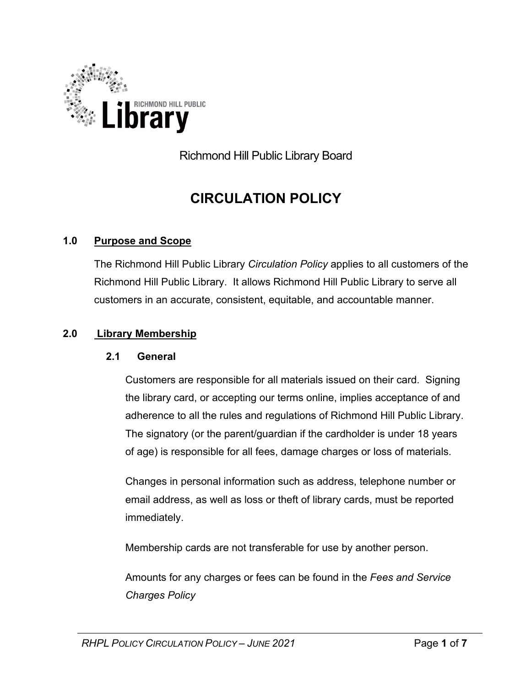

Richmond Hill Public Library Board

# **CIRCULATION POLICY**

#### **1.0 Purpose and Scope**

The Richmond Hill Public Library *Circulation Policy* applies to all customers of the Richmond Hill Public Library. It allows Richmond Hill Public Library to serve all customers in an accurate, consistent, equitable, and accountable manner.

#### **2.0 Library Membership**

#### **2.1 General**

Customers are responsible for all materials issued on their card. Signing the library card, or accepting our terms online, implies acceptance of and adherence to all the rules and regulations of Richmond Hill Public Library. The signatory (or the parent/guardian if the cardholder is under 18 years of age) is responsible for all fees, damage charges or loss of materials.

Changes in personal information such as address, telephone number or email address, as well as loss or theft of library cards, must be reported immediately.

Membership cards are not transferable for use by another person.

Amounts for any charges or fees can be found in the *Fees and Service Charges Policy*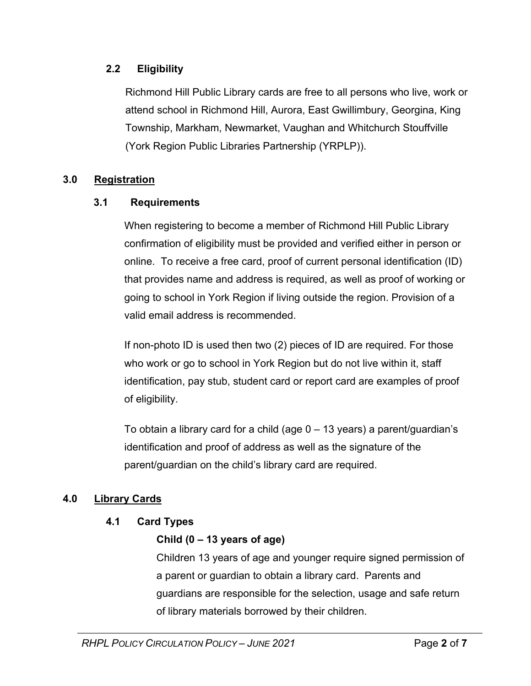## **2.2 Eligibility**

Richmond Hill Public Library cards are free to all persons who live, work or attend school in Richmond Hill, Aurora, East Gwillimbury, Georgina, King Township, Markham, Newmarket, Vaughan and Whitchurch Stouffville (York Region Public Libraries Partnership (YRPLP)).

#### **3.0 Registration**

#### **3.1 Requirements**

When registering to become a member of Richmond Hill Public Library confirmation of eligibility must be provided and verified either in person or online. To receive a free card, proof of current personal identification (ID) that provides name and address is required, as well as proof of working or going to school in York Region if living outside the region. Provision of a valid email address is recommended.

If non-photo ID is used then two (2) pieces of ID are required. For those who work or go to school in York Region but do not live within it, staff identification, pay stub, student card or report card are examples of proof of eligibility.

To obtain a library card for a child (age  $0 - 13$  years) a parent/quardian's identification and proof of address as well as the signature of the parent/guardian on the child's library card are required.

## **4.0 Library Cards**

## **4.1 Card Types**

## **Child (0 – 13 years of age)**

Children 13 years of age and younger require signed permission of a parent or guardian to obtain a library card. Parents and guardians are responsible for the selection, usage and safe return of library materials borrowed by their children.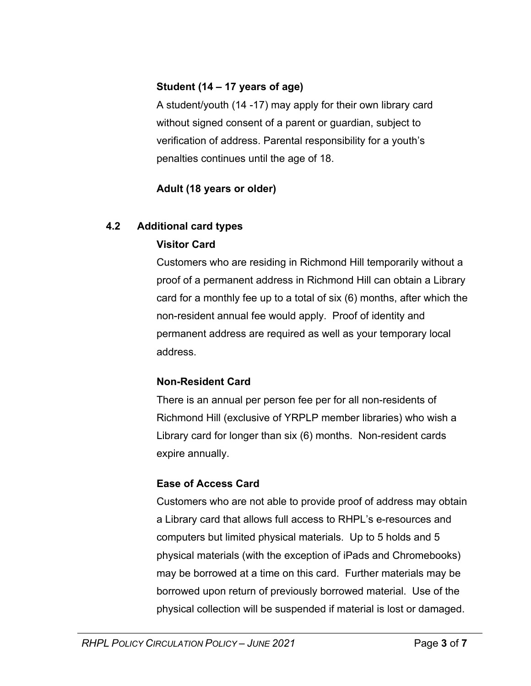## **Student (14 – 17 years of age)**

A student/youth (14 -17) may apply for their own library card without signed consent of a parent or guardian, subject to verification of address. Parental responsibility for a youth's penalties continues until the age of 18.

# **Adult (18 years or older)**

## **4.2 Additional card types**

# **Visitor Card**

Customers who are residing in Richmond Hill temporarily without a proof of a permanent address in Richmond Hill can obtain a Library card for a monthly fee up to a total of six (6) months, after which the non-resident annual fee would apply. Proof of identity and permanent address are required as well as your temporary local address.

## **Non-Resident Card**

There is an annual per person fee per for all non-residents of Richmond Hill (exclusive of YRPLP member libraries) who wish a Library card for longer than six (6) months. Non-resident cards expire annually.

# **Ease of Access Card**

Customers who are not able to provide proof of address may obtain a Library card that allows full access to RHPL's e-resources and computers but limited physical materials. Up to 5 holds and 5 physical materials (with the exception of iPads and Chromebooks) may be borrowed at a time on this card. Further materials may be borrowed upon return of previously borrowed material. Use of the physical collection will be suspended if material is lost or damaged.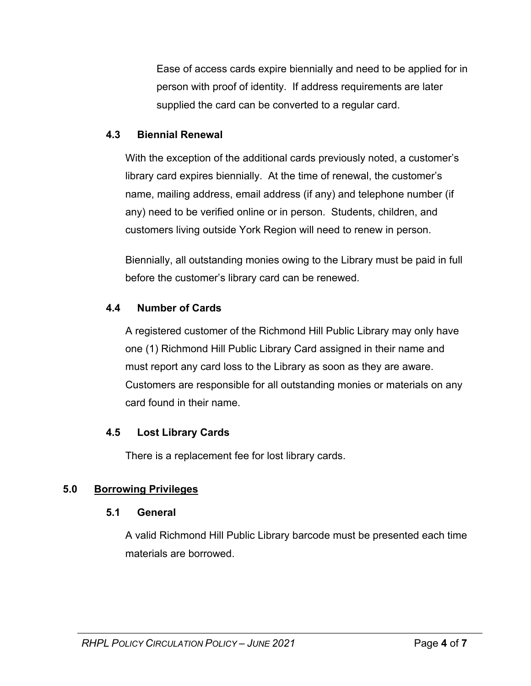Ease of access cards expire biennially and need to be applied for in person with proof of identity. If address requirements are later supplied the card can be converted to a regular card.

#### **4.3 Biennial Renewal**

With the exception of the additional cards previously noted, a customer's library card expires biennially. At the time of renewal, the customer's name, mailing address, email address (if any) and telephone number (if any) need to be verified online or in person. Students, children, and customers living outside York Region will need to renew in person.

Biennially, all outstanding monies owing to the Library must be paid in full before the customer's library card can be renewed.

#### **4.4 Number of Cards**

A registered customer of the Richmond Hill Public Library may only have one (1) Richmond Hill Public Library Card assigned in their name and must report any card loss to the Library as soon as they are aware. Customers are responsible for all outstanding monies or materials on any card found in their name.

## **4.5 Lost Library Cards**

There is a replacement fee for lost library cards.

## **5.0 Borrowing Privileges**

#### **5.1 General**

A valid Richmond Hill Public Library barcode must be presented each time materials are borrowed.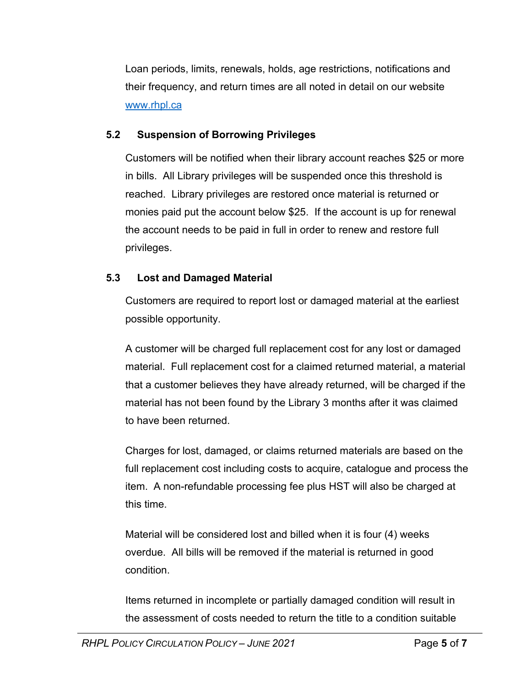Loan periods, limits, renewals, holds, age restrictions, notifications and their frequency, and return times are all noted in detail on our website www.rhpl.ca

## **5.2 Suspension of Borrowing Privileges**

Customers will be notified when their library account reaches \$25 or more in bills. All Library privileges will be suspended once this threshold is reached. Library privileges are restored once material is returned or monies paid put the account below \$25. If the account is up for renewal the account needs to be paid in full in order to renew and restore full privileges.

## **5.3 Lost and Damaged Material**

Customers are required to report lost or damaged material at the earliest possible opportunity.

A customer will be charged full replacement cost for any lost or damaged material. Full replacement cost for a claimed returned material, a material that a customer believes they have already returned, will be charged if the material has not been found by the Library 3 months after it was claimed to have been returned.

Charges for lost, damaged, or claims returned materials are based on the full replacement cost including costs to acquire, catalogue and process the item. A non-refundable processing fee plus HST will also be charged at this time.

Material will be considered lost and billed when it is four (4) weeks overdue. All bills will be removed if the material is returned in good condition.

Items returned in incomplete or partially damaged condition will result in the assessment of costs needed to return the title to a condition suitable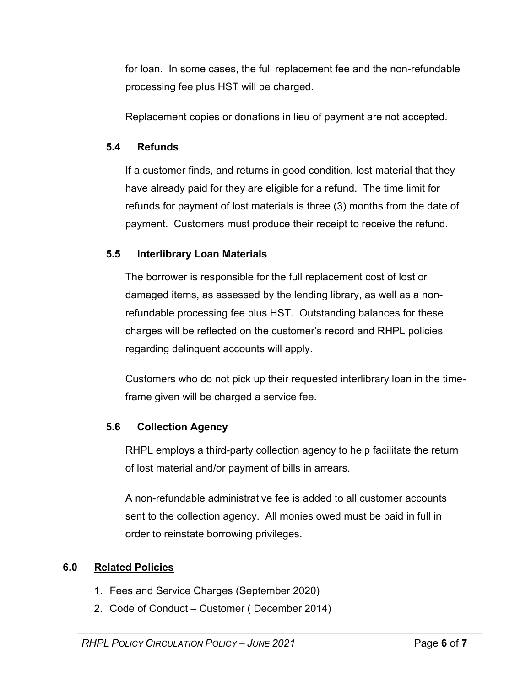for loan. In some cases, the full replacement fee and the non-refundable processing fee plus HST will be charged.

Replacement copies or donations in lieu of payment are not accepted.

#### **5.4 Refunds**

If a customer finds, and returns in good condition, lost material that they have already paid for they are eligible for a refund. The time limit for refunds for payment of lost materials is three (3) months from the date of payment. Customers must produce their receipt to receive the refund.

## **5.5 Interlibrary Loan Materials**

The borrower is responsible for the full replacement cost of lost or damaged items, as assessed by the lending library, as well as a nonrefundable processing fee plus HST. Outstanding balances for these charges will be reflected on the customer's record and RHPL policies regarding delinquent accounts will apply.

Customers who do not pick up their requested interlibrary loan in the timeframe given will be charged a service fee.

## **5.6 Collection Agency**

RHPL employs a third-party collection agency to help facilitate the return of lost material and/or payment of bills in arrears.

A non-refundable administrative fee is added to all customer accounts sent to the collection agency. All monies owed must be paid in full in order to reinstate borrowing privileges.

#### **6.0 Related Policies**

- 1. Fees and Service Charges (September 2020)
- 2. Code of Conduct Customer ( December 2014)